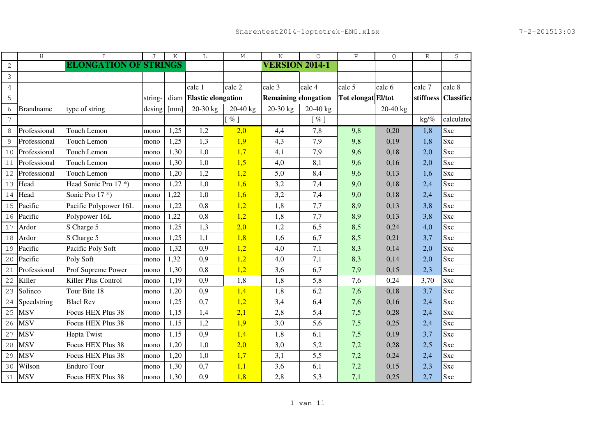|                | H                | I                            | J       | K    | L                         | М                  | $\rm N$                     | $\circ$    | $\, {\bf P}$       | Q.       | R         | S                 |
|----------------|------------------|------------------------------|---------|------|---------------------------|--------------------|-----------------------------|------------|--------------------|----------|-----------|-------------------|
| $\mathbf{2}$   |                  | <b>ELONGATION OF STRINGS</b> |         |      |                           |                    | <b>VERSION 2014-1</b>       |            |                    |          |           |                   |
| 3              |                  |                              |         |      |                           |                    |                             |            |                    |          |           |                   |
| $\overline{4}$ |                  |                              |         |      | calc 1                    | calc 2             | calc 3                      | calc 4     | calc 5             | calc 6   | calc 7    | calc 8            |
| 5              |                  |                              | string- | diam | <b>Elastic elongation</b> |                    | <b>Remaining elongation</b> |            | Tot elongat El/tot |          | stiffness | <b>Classifica</b> |
| 6              | <b>Brandname</b> | type of string               | desing  | [mm] | 20-30 kg                  | $20-40$ kg         | 20-30 kg                    | $20-40$ kg |                    | 20-40 kg |           |                   |
| $\overline{7}$ |                  |                              |         |      |                           | $\lceil \% \rceil$ |                             | $[$ %]     |                    |          | $kg$ /%   | calculated        |
| 8              | Professional     | Touch Lemon                  | mono    | 1,25 | 1,2                       | 2,0                | 4,4                         | 7,8        | 9,8                | 0,20     | 1,8       | Sxc               |
| 9              | Professional     | Touch Lemon                  | mono    | 1,25 | 1,3                       | 1,9                | 4,3                         | 7,9        | 9,8                | 0,19     | 1,8       | Sxc               |
| 10             | Professional     | Touch Lemon                  | mono    | 1,30 | 1,0                       | 1,7                | 4,1                         | 7,9        | 9,6                | 0,18     | 2,0       | Sxc               |
| 11             | Professional     | Touch Lemon                  | mono    | 1,30 | 1,0                       | 1,5                | 4,0                         | 8,1        | 9,6                | 0,16     | 2,0       | Sxc               |
| 12             | Professional     | Touch Lemon                  | mono    | 1,20 | 1,2                       | 1,2                | 5,0                         | 8,4        | 9,6                | 0,13     | 1,6       | Sxc               |
| 13             | Head             | Head Sonic Pro 17*)          | mono    | 1,22 | 1,0                       | 1,6                | 3,2                         | 7,4        | 9,0                | 0,18     | 2,4       | Sxc               |
| 14             | Head             | Sonic Pro 17*)               | mono    | 1,22 | 1,0                       | 1,6                | 3,2                         | 7,4        | 9,0                | 0,18     | 2,4       | <b>Sxc</b>        |
| 15             | Pacific          | Pacific Polypower 16L        | mono    | 1,22 | 0,8                       | 1,2                | 1,8                         | 7,7        | 8,9                | 0,13     | 3,8       | Sxc               |
| 16             | Pacific          | Polypower 16L                | mono    | 1,22 | 0,8                       | 1,2                | 1,8                         | 7,7        | 8,9                | 0,13     | 3,8       | Sxc               |
| 17             | Ardor            | S Charge 5                   | mono    | 1,25 | 1,3                       | 2,0                | 1,2                         | 6,5        | 8,5                | 0,24     | 4,0       | Sxc               |
| 18             | Ardor            | S Charge 5                   | mono    | 1,25 | 1,1                       | 1,8                | 1,6                         | 6,7        | 8,5                | 0,21     | 3,7       | Sxc               |
| 19             | Pacific          | Pacific Poly Soft            | mono    | 1,32 | 0,9                       | 1,2                | 4,0                         | 7,1        | 8,3                | 0,14     | 2,0       | Sxc               |
| 20             | Pacific          | Poly Soft                    | mono    | 1,32 | 0,9                       | 1,2                | 4,0                         | 7,1        | 8,3                | 0,14     | 2,0       | Sxc               |
| 21             | Professional     | Prof Supreme Power           | mono    | 1,30 | 0,8                       | 1,2                | 3,6                         | 6,7        | 7,9                | 0,15     | 2,3       | Sxc               |
| 22             | Killer           | Killer Plus Control          | mono    | 1,19 | 0,9                       | 1,8                | 1,8                         | 5,8        | 7,6                | 0,24     | 3,70      | Sxc               |
| 23             | Solinco          | Tour Bite 18                 | mono    | 1,20 | 0,9                       | 1,4                | 1,8                         | 6,2        | 7,6                | 0,18     | 3,7       | Sxc               |
| 24             | Speedstring      | <b>Blacl Rev</b>             | mono    | 1,25 | 0,7                       | 1,2                | 3,4                         | 6,4        | 7,6                | 0,16     | 2,4       | Sxc               |
| 25             | <b>MSV</b>       | Focus HEX Plus 38            | mono    | 1,15 | 1,4                       | 2,1                | 2,8                         | 5,4        | 7,5                | 0,28     | 2,4       | Sxc               |
| 26             | <b>MSV</b>       | Focus HEX Plus 38            | mono    | 1,15 | 1,2                       | 1,9                | 3,0                         | 5,6        | 7,5                | 0,25     | 2,4       | <b>Sxc</b>        |
| 27             | <b>MSV</b>       | <b>Hepta Twist</b>           | mono    | 1,15 | 0,9                       | 1,4                | 1,8                         | 6,1        | 7,5                | 0,19     | 3,7       | Sxc               |
| 28             | <b>MSV</b>       | Focus HEX Plus 38            | mono    | 1,20 | 1,0                       | 2,0                | 3,0                         | 5,2        | 7,2                | 0,28     | 2,5       | <b>Sxc</b>        |
| 29             | <b>MSV</b>       | Focus HEX Plus 38            | mono    | 1,20 | 1,0                       | 1,7                | 3,1                         | 5,5        | 7,2                | 0,24     | 2,4       | Sxc               |
| 30             | Wilson           | <b>Enduro Tour</b>           | mono    | 1,30 | 0,7                       | 1,1                | 3,6                         | 6,1        | 7,2                | 0,15     | 2,3       | Sxc               |
|                | 31 MSV           | Focus HEX Plus 38            | mono    | 1,30 | 0,9                       | 1,8                | 2,8                         | 5,3        | 7,1                | 0,25     | 2,7       | Sxc               |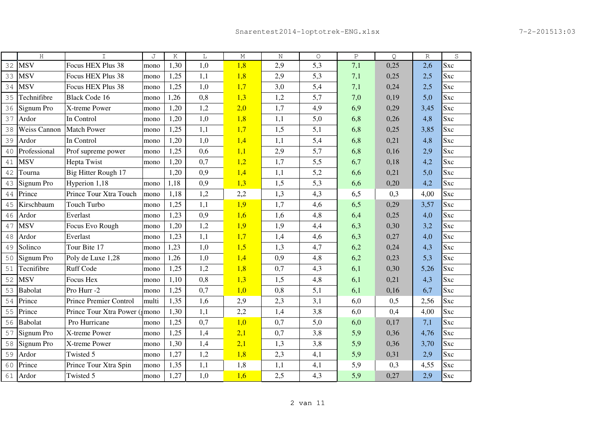|    | H                   | I                            | J     | Κ    | L   | М   | N   | $\circ$ | $\, {\bf P}$ | Q    | R    | S          |
|----|---------------------|------------------------------|-------|------|-----|-----|-----|---------|--------------|------|------|------------|
| 32 | <b>MSV</b>          | Focus HEX Plus 38            | mono  | 1,30 | 1,0 | 1,8 | 2,9 | 5,3     | 7,1          | 0,25 | 2,6  | Sxc        |
| 33 | <b>MSV</b>          | Focus HEX Plus 38            | mono  | 1,25 | 1,1 | 1,8 | 2,9 | 5,3     | 7,1          | 0,25 | 2,5  | <b>Sxc</b> |
| 34 | <b>MSV</b>          | Focus HEX Plus 38            | mono  | 1,25 | 1,0 | 1,7 | 3,0 | 5,4     | 7,1          | 0,24 | 2,5  | Sxc        |
| 35 | Technifibre         | <b>Black Code 16</b>         | mono  | 1,26 | 0,8 | 1,3 | 1,2 | 5,7     | 7,0          | 0,19 | 5,0  | <b>Sxc</b> |
| 36 | Signum Pro          | X-treme Power                | mono  | 1,20 | 1,2 | 2,0 | 1,7 | 4,9     | 6,9          | 0,29 | 3,45 | Sxc        |
| 37 | Ardor               | In Control                   | mono  | 1,20 | 1,0 | 1,8 | 1,1 | 5,0     | 6,8          | 0,26 | 4,8  | Sxc        |
| 38 | <b>Weiss Cannon</b> | Match Power                  | mono  | 1,25 | 1,1 | 1,7 | 1,5 | 5,1     | 6,8          | 0,25 | 3,85 | <b>Sxc</b> |
| 39 | Ardor               | In Control                   | mono  | 1,20 | 1,0 | 1,4 | 1,1 | 5,4     | 6,8          | 0,21 | 4,8  | Sxc        |
| 40 | Professional        | Prof supreme power           | mono  | 1,25 | 0,6 | 1,1 | 2,9 | 5,7     | 6,8          | 0,16 | 2,9  | <b>Sxc</b> |
| 41 | <b>MSV</b>          | <b>Hepta Twist</b>           | mono  | 1,20 | 0,7 | 1,2 | 1,7 | 5,5     | 6,7          | 0,18 | 4,2  | Sxc        |
| 42 | Tourna              | Big Hitter Rough 17          |       | 1,20 | 0,9 | 1,4 | 1,1 | 5,2     | 6,6          | 0,21 | 5,0  | Sxc        |
| 43 | Signum Pro          | Hyperion 1,18                | mono  | 1,18 | 0,9 | 1,3 | 1,5 | 5,3     | 6,6          | 0,20 | 4,2  | Sxc        |
| 44 | Prince              | Prince Tour Xtra Touch       | mono  | 1,18 | 1,2 | 2,2 | 1,3 | 4,3     | 6,5          | 0,3  | 4,00 | Sxc        |
| 45 | Kirschbaum          | <b>Touch Turbo</b>           | mono  | 1,25 | 1,1 | 1,9 | 1,7 | 4,6     | 6,5          | 0,29 | 3,57 | Sxc        |
| 46 | Ardor               | Everlast                     | mono  | 1,23 | 0,9 | 1,6 | 1,6 | 4,8     | 6,4          | 0,25 | 4,0  | <b>Sxc</b> |
| 47 | <b>MSV</b>          | Focus Evo Rough              | mono  | 1,20 | 1,2 | 1,9 | 1,9 | 4,4     | 6,3          | 0,30 | 3,2  | <b>Sxc</b> |
| 48 | Ardor               | Everlast                     | mono  | 1,23 | 1,1 | 1,7 | 1,4 | 4,6     | 6,3          | 0,27 | 4,0  | Sxc        |
| 49 | Solinco             | Tour Bite 17                 | mono  | 1,23 | 1,0 | 1,5 | 1,3 | 4,7     | 6,2          | 0,24 | 4,3  | Sxc        |
| 50 | Signum Pro          | Poly de Luxe 1,28            | mono  | 1,26 | 1,0 | 1,4 | 0,9 | 4,8     | 6,2          | 0,23 | 5,3  | Sxc        |
| 51 | Tecnifibre          | <b>Ruff Code</b>             | mono  | 1,25 | 1,2 | 1,8 | 0,7 | 4,3     | 6,1          | 0,30 | 5,26 | Sxc        |
| 52 | <b>MSV</b>          | Focus Hex                    | mono  | 1,10 | 0,8 | 1,3 | 1,5 | 4,8     | 6,1          | 0,21 | 4,3  | Sxc        |
| 53 | Babolat             | Pro Hurr -2                  | mono  | 1,25 | 0,7 | 1,0 | 0,8 | 5,1     | 6,1          | 0,16 | 6,7  | Sxc        |
| 54 | Prince              | Prince Premier Control       | multi | 1,35 | 1,6 | 2,9 | 2,3 | 3,1     | 6,0          | 0,5  | 2,56 | Sxc        |
| 55 | Prince              | Prince Tour Xtra Power (mono |       | 1,30 | 1,1 | 2,2 | 1,4 | 3,8     | 6,0          | 0,4  | 4,00 | Sxc        |
| 56 | <b>Babolat</b>      | Pro Hurricane                | mono  | 1,25 | 0,7 | 1,0 | 0,7 | 5,0     | 6,0          | 0,17 | 7,1  | Sxc        |
| 57 | Signum Pro          | X-treme Power                | mono  | 1,25 | 1,4 | 2,1 | 0,7 | 3,8     | 5,9          | 0,36 | 4,76 | Sxc        |
| 58 | Signum Pro          | X-treme Power                | mono  | 1,30 | 1,4 | 2,1 | 1,3 | 3,8     | 5,9          | 0,36 | 3,70 | <b>Sxc</b> |
| 59 | Ardor               | Twisted 5                    | mono  | 1,27 | 1,2 | 1,8 | 2,3 | 4,1     | 5,9          | 0,31 | 2,9  | Sxc        |
| 60 | Prince              | Prince Tour Xtra Spin        | mono  | 1,35 | 1,1 | 1,8 | 1,1 | 4,1     | 5,9          | 0,3  | 4,55 | Sxc        |
|    | 61 Ardor            | Twisted 5                    | mono  | 1,27 | 1,0 | 1,6 | 2,5 | 4,3     | 5,9          | 0,27 | 2,9  | Sxc        |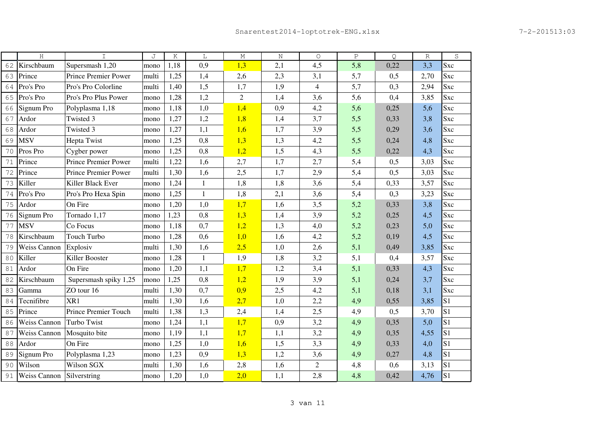|    | $\rm H$             | $\mathbf I$                 | J     | K    | L            | $\mathop{\rm M}\nolimits$ | $\rm N$ | $\circ$        | $\, {\bf P}$ | Q    | $\mathbb R$ | S              |
|----|---------------------|-----------------------------|-------|------|--------------|---------------------------|---------|----------------|--------------|------|-------------|----------------|
| 62 | Kirschbaum          | Supersmash 1,20             | mono  | 1,18 | 0,9          | 1,3                       | 2,1     | 4,5            | 5,8          | 0,22 | 3,3         | Sxc            |
| 63 | Prince              | Prince Premier Power        | multi | 1,25 | 1,4          | 2,6                       | 2,3     | 3,1            | 5,7          | 0,5  | 2,70        | <b>Sxc</b>     |
| 64 | Pro's Pro           | Pro's Pro Colorline         | multi | 1,40 | 1,5          | 1,7                       | 1,9     | $\overline{4}$ | 5,7          | 0,3  | 2,94        | Sxc            |
| 65 | Pro's Pro           | Pro's Pro Plus Power        | mono  | 1,28 | 1,2          | $\overline{2}$            | 1,4     | 3,6            | 5,6          | 0,4  | 3,85        | Sxc            |
| 66 | Signum Pro          | Polyplasma 1,18             | mono  | 1,18 | 1,0          | 1,4                       | 0,9     | 4,2            | 5,6          | 0,25 | 5,6         | <b>Sxc</b>     |
| 67 | Ardor               | Twisted 3                   | mono  | 1,27 | 1,2          | 1,8                       | 1,4     | 3,7            | 5,5          | 0,33 | 3,8         | <b>Sxc</b>     |
| 68 | Ardor               | Twisted 3                   | mono  | 1,27 | 1,1          | 1,6                       | 1,7     | 3,9            | 5,5          | 0,29 | 3,6         | Sxc            |
| 69 | <b>MSV</b>          | Hepta Twist                 | mono  | 1,25 | 0,8          | 1,3                       | 1,3     | 4,2            | 5,5          | 0,24 | 4,8         | <b>Sxc</b>     |
| 70 | Pros Pro            | Cygber power                | mono  | 1,25 | 0,8          | 1,2                       | 1,5     | 4,3            | 5,5          | 0,22 | 4,3         | Sxc            |
| 71 | Prince              | <b>Prince Premier Power</b> | multi | 1,22 | 1,6          | 2,7                       | 1,7     | 2,7            | 5,4          | 0,5  | 3,03        | Sxc            |
| 72 | Prince              | <b>Prince Premier Power</b> | multi | 1,30 | 1,6          | 2,5                       | 1,7     | 2,9            | 5,4          | 0,5  | 3,03        | Sxc            |
| 73 | Killer              | Killer Black Ever           | mono  | 1,24 | $\mathbf{1}$ | 1,8                       | 1,8     | 3,6            | 5,4          | 0,33 | 3,57        | Sxc            |
| 74 | Pro's Pro           | Pro's Pro Hexa Spin         | mono  | 1,25 | $\mathbf{1}$ | 1,8                       | 2,1     | 3,6            | 5,4          | 0,3  | 3,23        | <b>Sxc</b>     |
| 75 | Ardor               | On Fire                     | mono  | 1,20 | 1,0          | 1,7                       | 1,6     | 3,5            | 5,2          | 0,33 | 3,8         | Sxc            |
| 76 | Signum Pro          | Tornado 1,17                | mono  | 1,23 | 0,8          | 1,3                       | 1,4     | 3,9            | 5,2          | 0,25 | 4,5         | Sxc            |
| 77 | <b>MSV</b>          | Co Focus                    | mono  | 1,18 | 0,7          | 1,2                       | 1,3     | 4,0            | 5,2          | 0,23 | 5,0         | Sxc            |
| 78 | Kirschbaum          | Touch Turbo                 | mono  | 1,28 | 0,6          | 1,0                       | 1,6     | 4,2            | 5,2          | 0,19 | 4,5         | <b>Sxc</b>     |
| 79 | <b>Weiss Cannon</b> | Explosiv                    | multi | 1,30 | 1,6          | 2,5                       | 1,0     | 2,6            | 5,1          | 0,49 | 3,85        | Sxc            |
| 80 | Killer              | Killer Booster              | mono  | 1,28 | $\mathbf{1}$ | 1,9                       | 1,8     | 3,2            | 5,1          | 0,4  | 3,57        | Sxc            |
| 81 | Ardor               | On Fire                     | mono  | 1,20 | 1,1          | 1,7                       | 1,2     | 3,4            | 5,1          | 0,33 | 4,3         | <b>Sxc</b>     |
| 82 | Kirschbaum          | Supersmash spiky 1,25       | mono  | 1,25 | 0,8          | 1,2                       | 1,9     | 3,9            | 5,1          | 0,24 | 3,7         | Sxc            |
| 83 | Gamma               | ZO tour 16                  | multi | 1,30 | 0,7          | 0,9                       | 2,5     | 4,2            | 5,1          | 0,18 | 3,1         | Sxc            |
| 84 | Tecnifibre          | XR1                         | multi | 1,30 | 1,6          | 2,7                       | 1,0     | 2,2            | 4,9          | 0,55 | 3,85        | S <sub>1</sub> |
| 85 | Prince              | Prince Premier Touch        | multi | 1,38 | 1,3          | 2,4                       | 1,4     | 2,5            | 4,9          | 0,5  | 3,70        | S <sub>1</sub> |
| 86 | <b>Weiss Cannon</b> | <b>Turbo Twist</b>          | mono  | 1,24 | 1,1          | 1,7                       | 0,9     | 3,2            | 4,9          | 0,35 | 5,0         | S <sub>1</sub> |
| 87 | <b>Weiss Cannon</b> | Mosquito bite               | mono  | 1,19 | 1,1          | 1,7                       | 1,1     | 3,2            | 4,9          | 0,35 | 4,55        | S1             |
| 88 | Ardor               | On Fire                     | mono  | 1,25 | 1,0          | 1,6                       | 1,5     | 3,3            | 4,9          | 0,33 | 4,0         | S <sub>1</sub> |
| 89 | Signum Pro          | Polyplasma 1,23             | mono  | 1,23 | 0,9          | 1,3                       | 1,2     | 3,6            | 4,9          | 0,27 | 4,8         | S <sub>1</sub> |
| 90 | Wilson              | Wilson SGX                  | multi | 1,30 | 1,6          | 2,8                       | 1,6     | $\overline{2}$ | 4,8          | 0,6  | 3,13        | S <sub>1</sub> |
| 91 | Weiss Cannon        | Silverstring                | mono  | 1,20 | 1,0          | 2,0                       | 1,1     | 2,8            | 4,8          | 0,42 | 4,76        | S1             |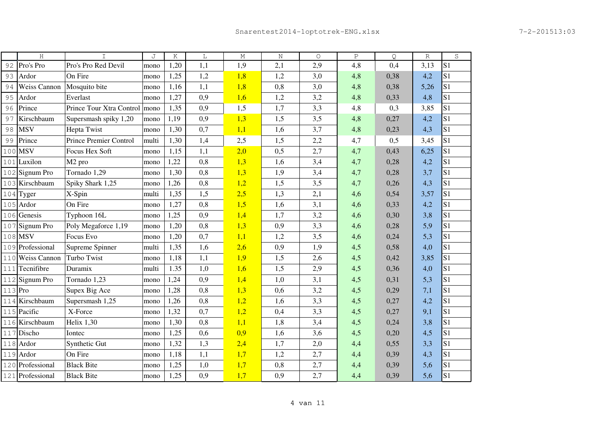|         | H                   | $\mathbf I$                     | J     | Κ    | L   | М   | N   | $\circ$ | $\, {\bf P}$ | Q    | $\mathbb R$ | $\rm S$        |
|---------|---------------------|---------------------------------|-------|------|-----|-----|-----|---------|--------------|------|-------------|----------------|
| 92      | Pro's Pro           | Pro's Pro Red Devil             | mono  | 1,20 | 1,1 | 1,9 | 2,1 | 2,9     | 4,8          | 0,4  | 3,13        | S <sub>1</sub> |
| 93      | Ardor               | On Fire                         | mono  | 1,25 | 1,2 | 1,8 | 1,2 | 3,0     | 4,8          | 0,38 | 4,2         | S <sub>1</sub> |
| 94      | <b>Weiss Cannon</b> | Mosquito bite                   | mono  | 1,16 | 1,1 | 1,8 | 0,8 | 3,0     | 4,8          | 0,38 | 5,26        | S <sub>1</sub> |
| 95      | Ardor               | Everlast                        | mono  | 1,27 | 0,9 | 1,6 | 1,2 | 3,2     | 4,8          | 0,33 | 4,8         | S <sub>1</sub> |
| 96      | Prince              | Prince Tour Xtra Control   mono |       | 1,35 | 0,9 | 1,5 | 1,7 | 3,3     | 4,8          | 0,3  | 3,85        | S <sub>1</sub> |
| 97      | Kirschbaum          | Supersmash spiky 1,20           | mono  | 1,19 | 0,9 | 1,3 | 1,5 | 3,5     | 4,8          | 0,27 | 4,2         | S <sub>1</sub> |
| 98      | <b>MSV</b>          | Hepta Twist                     | mono  | 1,30 | 0,7 | 1,1 | 1,6 | 3,7     | 4,8          | 0,23 | 4,3         | S <sub>1</sub> |
| 99      | Prince              | Prince Premier Control          | multi | 1,30 | 1,4 | 2,5 | 1,5 | 2,2     | 4,7          | 0,5  | 3,45        | S <sub>1</sub> |
| 100     | <b>MSV</b>          | Focus Hex Soft                  | mono  | 1,15 | 1,1 | 2,0 | 0,5 | 2,7     | 4,7          | 0,43 | 6,25        | S <sub>1</sub> |
|         | 101 Luxilon         | M <sub>2</sub> pro              | mono  | 1,22 | 0,8 | 1,3 | 1,6 | 3,4     | 4,7          | 0,28 | 4,2         | S <sub>1</sub> |
|         | 102 Signum Pro      | Tornado 1,29                    | mono  | 1,30 | 0,8 | 1,3 | 1,9 | 3,4     | 4,7          | 0,28 | 3,7         | S <sub>1</sub> |
|         | 103 Kirschbaum      | Spiky Shark 1,25                | mono  | 1,26 | 0,8 | 1,2 | 1,5 | 3,5     | 4,7          | 0,26 | 4,3         | S <sub>1</sub> |
|         | $104$ Tyger         | X-Spin                          | multi | 1,35 | 1,5 | 2,5 | 1,3 | 2,1     | 4,6          | 0,54 | 3,57        | S <sub>1</sub> |
|         | 105 Ardor           | On Fire                         | mono  | 1,27 | 0,8 | 1,5 | 1,6 | 3,1     | 4,6          | 0,33 | 4,2         | S <sub>1</sub> |
|         | 106 Genesis         | Typhoon 16L                     | mono  | 1,25 | 0,9 | 1,4 | 1,7 | 3,2     | 4,6          | 0,30 | 3,8         | S <sub>1</sub> |
|         | 107 Signum Pro      | Poly Megaforce 1,19             | mono  | 1,20 | 0,8 | 1,3 | 0,9 | 3,3     | 4,6          | 0,28 | 5,9         | S <sub>1</sub> |
|         | 108 MSV             | Focus Evo                       | mono  | 1,20 | 0,7 | 1,1 | 1,2 | 3,5     | 4,6          | 0,24 | 5,3         | S <sub>1</sub> |
|         | 109 Professional    | Supreme Spinner                 | multi | 1,35 | 1,6 | 2,6 | 0,9 | 1,9     | 4,5          | 0,58 | 4,0         | S <sub>1</sub> |
|         | 110 Weiss Cannon    | Turbo Twist                     | mono  | 1,18 | 1,1 | 1,9 | 1,5 | 2,6     | 4,5          | 0,42 | 3,85        | S <sub>1</sub> |
|         | 111 Tecnifibre      | Duramix                         | multi | 1.35 | 1,0 | 1,6 | 1,5 | 2,9     | 4,5          | 0,36 | 4,0         | S <sub>1</sub> |
|         | 112 Signum Pro      | Tornado 1,23                    | mono  | 1,24 | 0,9 | 1,4 | 1,0 | 3,1     | 4,5          | 0,31 | 5,3         | S <sub>1</sub> |
| 113 Pro |                     | Supex Big Ace                   | mono  | 1,28 | 0,8 | 1,3 | 0,6 | 3,2     | 4,5          | 0,29 | 7,1         | S <sub>1</sub> |
|         | 114 Kirschbaum      | Supersmash 1,25                 | mono  | 1,26 | 0,8 | 1,2 | 1,6 | 3,3     | 4,5          | 0,27 | 4,2         | S <sub>1</sub> |
|         | 115 Pacific         | X-Force                         | mono  | 1,32 | 0,7 | 1,2 | 0,4 | 3,3     | 4,5          | 0,27 | 9,1         | S <sub>1</sub> |
|         | 116 Kirschbaum      | Helix $1,30$                    | mono  | 1,30 | 0,8 | 1,1 | 1,8 | 3,4     | 4,5          | 0,24 | 3,8         | S <sub>1</sub> |
|         | 117 Discho          | Iontec                          | mono  | 1,25 | 0,6 | 0,9 | 1,6 | 3,6     | 4,5          | 0,20 | 4,5         | S <sub>1</sub> |
|         | 118 Ardor           | Synthetic Gut                   | mono  | 1,32 | 1,3 | 2,4 | 1,7 | 2,0     | 4,4          | 0,55 | 3,3         | S <sub>1</sub> |
|         | 119 Ardor           | On Fire                         | mono  | 1,18 | 1,1 | 1,7 | 1,2 | 2,7     | 4,4          | 0,39 | 4,3         | S <sub>1</sub> |
|         | 120 Professional    | <b>Black Bite</b>               | mono  | 1,25 | 1,0 | 1,7 | 0,8 | 2,7     | 4,4          | 0,39 | 5,6         | S <sub>1</sub> |
|         | 121 Professional    | <b>Black Bite</b>               | mono  | 1,25 | 0,9 | 1,7 | 0,9 | 2,7     | 4,4          | 0,39 | 5,6         | S <sub>1</sub> |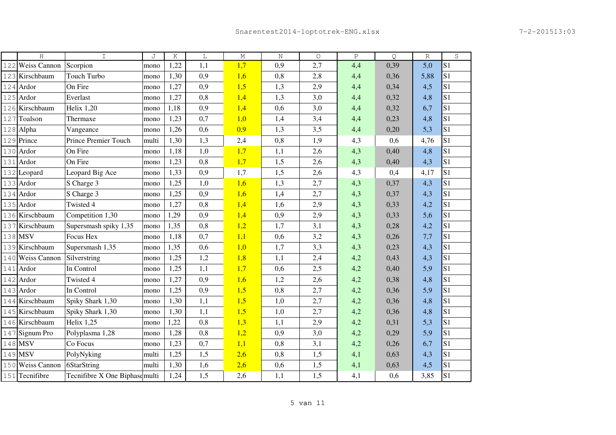|     | H                | $\mathbf I$                    | J     | Κ    | L   | $\mathbb M$ | $\rm N$ | $\circ$ | $\, {\bf P}$ | Q    | $\mathbb R$ | $\rm S$        |
|-----|------------------|--------------------------------|-------|------|-----|-------------|---------|---------|--------------|------|-------------|----------------|
| 122 | Weiss Cannon     | Scorpion                       | mono  | 1,22 | 1,1 | 1,7         | 0,9     | 2,7     | 4,4          | 0,39 | 5,0         | S <sub>1</sub> |
|     | 123 Kirschbaum   | Touch Turbo                    | mono  | 1,30 | 0,9 | 1,6         | 0,8     | 2,8     | 4,4          | 0,36 | 5,88        | S <sub>1</sub> |
|     | 124 Ardor        | On Fire                        | mono  | 1,27 | 0,9 | 1,5         | 1,3     | 2,9     | 4,4          | 0,34 | 4,5         | S <sub>1</sub> |
|     | 125 Ardor        | Everlast                       | mono  | 1,27 | 0,8 | 1,4         | 1,3     | 3,0     | 4,4          | 0,32 | 4,8         | S <sub>1</sub> |
|     | 126 Kirschbaum   | Helix 1,20                     | mono  | 1,18 | 0,9 | 1,4         | 0,6     | 3,0     | 4,4          | 0,32 | 6,7         | S <sub>1</sub> |
| 127 | Toalson          | Thermaxe                       | mono  | 1,23 | 0,7 | 1,0         | 1,4     | 3,4     | 4,4          | 0,23 | 4,8         | S <sub>1</sub> |
|     | 128 Alpha        | Vangeance                      | mono  | 1,26 | 0,6 | 0,9         | 1,3     | 3,5     | 4,4          | 0,20 | 5,3         | S <sub>1</sub> |
|     | 129 Prince       | <b>Prince Premier Touch</b>    | multi | 1,30 | 1,3 | 2,4         | 0,8     | 1,9     | 4,3          | 0,6  | 4,76        | S <sub>1</sub> |
|     | 130 Ardor        | On Fire                        | mono  | 1,18 | 1,0 | 1,7         | 1,1     | 2,6     | 4,3          | 0,40 | 4,8         | S <sub>1</sub> |
|     | 131 Ardor        | On Fire                        | mono  | 1,23 | 0,8 | 1,7         | 1,5     | 2,6     | 4,3          | 0,40 | 4,3         | S <sub>1</sub> |
|     | 132 Leopard      | Leopard Big Ace                | mono  | 1,33 | 0,9 | 1,7         | 1,5     | 2,6     | 4,3          | 0,4  | 4,17        | S <sub>1</sub> |
|     | 133 Ardor        | S Charge 3                     | mono  | 1,25 | 1,0 | 1,6         | 1,3     | 2,7     | 4,3          | 0,37 | 4,3         | S <sub>1</sub> |
|     | 134 Ardor        | S Charge 3                     | mono  | 1,25 | 0,9 | 1,6         | 1,4     | 2,7     | 4,3          | 0,37 | 4,3         | S <sub>1</sub> |
|     | 135 Ardor        | Twisted 4                      | mono  | 1,27 | 0,8 | 1,4         | 1,6     | 2,9     | 4,3          | 0,33 | 4,2         | S <sub>1</sub> |
|     | 136 Kirschbaum   | Competition 1,30               | mono  | 1,29 | 0,9 | 1,4         | 0,9     | 2,9     | 4,3          | 0,33 | 5,6         | S <sub>1</sub> |
|     | 137 Kirschbaum   | Supersmash spiky 1,35          | mono  | 1,35 | 0,8 | 1,2         | 1,7     | 3,1     | 4,3          | 0,28 | 4,2         | S <sub>1</sub> |
|     | 138 MSV          | Focus Hex                      | mono  | 1,18 | 0,7 | 1,1         | 0,6     | 3,2     | 4,3          | 0,26 | 7,7         | S <sub>1</sub> |
|     | 139 Kirschbaum   | Supersmash 1,35                | mono  | 1,35 | 0,6 | 1,0         | 1,7     | 3,3     | 4,3          | 0,23 | 4,3         | S <sub>1</sub> |
|     | 140 Weiss Cannon | Silverstring                   | mono  | 1,25 | 1,2 | 1,8         | 1,1     | 2,4     | 4,2          | 0,43 | 4,3         | S <sub>1</sub> |
| 141 | Ardor            | In Control                     | mono  | 1,25 | 1,1 | 1,7         | 0,6     | 2,5     | 4,2          | 0,40 | 5,9         | S <sub>1</sub> |
|     | 142 Ardor        | Twisted 4                      | mono  | 1,27 | 0,9 | 1,6         | 1,2     | 2,6     | 4,2          | 0,38 | 4,8         | S <sub>1</sub> |
|     | 143 Ardor        | In Control                     | mono  | 1,25 | 0,9 | 1,5         | 0,8     | 2,7     | 4,2          | 0,36 | 5,9         | S <sub>1</sub> |
| 144 | Kirschbaum       | Spiky Shark 1,30               | mono  | 1,30 | 1,1 | 1,5         | 1,0     | 2,7     | 4,2          | 0,36 | 4,8         | S <sub>1</sub> |
|     | 145 Kirschbaum   | Spiky Shark 1,30               | mono  | 1,30 | 1,1 | 1,5         | 1,0     | 2,7     | 4,2          | 0,36 | 4,8         | S <sub>1</sub> |
|     | 146 Kirschbaum   | <b>Helix 1,25</b>              | mono  | 1,22 | 0,8 | 1,3         | 1,1     | 2,9     | 4,2          | 0,31 | 5,3         | S <sub>1</sub> |
|     | 147 Signum Pro   | Polyplasma 1,28                | mono  | 1,28 | 0,8 | 1,2         | 0,9     | 3,0     | 4,2          | 0,29 | 5,9         | S <sub>1</sub> |
|     | 148 MSV          | Co Focus                       | mono  | 1,23 | 0,7 | 1,1         | 0,8     | 3,1     | 4,2          | 0,26 | 6,7         | S <sub>1</sub> |
|     | 149 MSV          | PolyNyking                     | multi | 1,25 | 1,5 | 2,6         | 0,8     | 1,5     | 4,1          | 0,63 | 4,3         | S <sub>1</sub> |
|     | 150 Weiss Cannon | 6StarString                    | multi | 1,30 | 1,6 | 2,6         | 0,6     | 1,5     | 4,1          | 0,63 | 4,5         | S <sub>1</sub> |
|     | 151 Tecnifibre   | Tecnifibre X One Biphase multi |       | 1,24 | 1,5 | 2,6         | 1,1     | 1,5     | 4,1          | 0,6  | 3,85        | S <sub>1</sub> |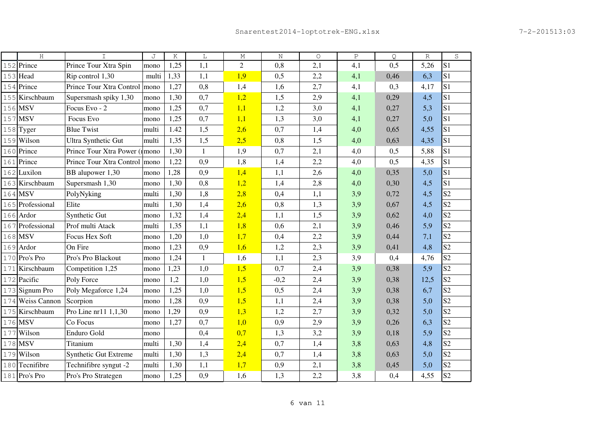|     | H                | T                             | J     | K    | L            | М              | $\rm N$ | $\circ$ | Ρ   | Q    | $\mathbb{R}$ | $\rm S$        |
|-----|------------------|-------------------------------|-------|------|--------------|----------------|---------|---------|-----|------|--------------|----------------|
|     | 152 Prince       | Prince Tour Xtra Spin         | mono  | 1,25 | 1,1          | $\overline{2}$ | 0,8     | 2,1     | 4,1 | 0,5  | 5,26         | S <sub>1</sub> |
|     | 153 Head         | Rip control 1,30              | multi | 1,33 | 1,1          | 1,9            | 0,5     | 2,2     | 4,1 | 0,46 | 6,3          | S <sub>1</sub> |
|     | 154 Prince       | Prince Tour Xtra Control mono |       | 1,27 | 0,8          | 1,4            | 1,6     | 2,7     | 4,1 | 0,3  | 4,17         | S <sub>1</sub> |
|     | 155 Kirschbaum   | Supersmash spiky 1,30         | mono  | 1,30 | 0,7          | 1,2            | 1,5     | 2,9     | 4,1 | 0,29 | 4,5          | S <sub>1</sub> |
|     | 156 MSV          | Focus Evo - 2                 | mono  | 1,25 | 0,7          | 1,1            | 1,2     | 3,0     | 4,1 | 0,27 | 5,3          | S <sub>1</sub> |
|     | 157 MSV          | Focus Evo                     | mono  | 1,25 | 0,7          | 1,1            | 1,3     | 3,0     | 4,1 | 0,27 | 5,0          | S <sub>1</sub> |
|     | 158 Tyger        | <b>Blue Twist</b>             | multi | 1.42 | 1,5          | 2,6            | 0,7     | 1,4     | 4,0 | 0,65 | 4,55         | S <sub>1</sub> |
|     | 159 Wilson       | <b>Ultra Synthetic Gut</b>    | multi | 1,35 | 1,5          | 2,5            | 0,8     | 1,5     | 4,0 | 0,63 | 4,35         | S <sub>1</sub> |
|     | 160 Prince       | Prince Tour Xtra Power (1mono |       | 1,30 | $\mathbf{1}$ | 1,9            | 0,7     | 2,1     | 4,0 | 0,5  | 5,88         | S <sub>1</sub> |
|     | 161 Prince       | Prince Tour Xtra Control mono |       | 1,22 | 0,9          | 1,8            | 1,4     | 2,2     | 4,0 | 0,5  | 4,35         | S <sub>1</sub> |
|     | 162 Luxilon      | BB alupower 1,30              | mono  | 1,28 | 0,9          | 1,4            | 1,1     | 2,6     | 4,0 | 0,35 | 5,0          | S <sub>1</sub> |
|     | 163 Kirschbaum   | Supersmash 1,30               | mono  | 1,30 | 0,8          | 1,2            | 1,4     | 2,8     | 4,0 | 0,30 | 4,5          | S <sub>1</sub> |
|     | 164 MSV          | PolyNyking                    | multi | 1,30 | 1,8          | 2,8            | 0,4     | 1,1     | 3,9 | 0,72 | 4,5          | S <sub>2</sub> |
|     | 165 Professional | Elite                         | multi | 1,30 | 1,4          | 2,6            | 0,8     | 1,3     | 3,9 | 0,67 | 4,5          | S <sub>2</sub> |
|     | 166 Ardor        | Synthetic Gut                 | mono  | 1,32 | 1,4          | 2,4            | 1,1     | 1,5     | 3,9 | 0,62 | 4,0          | S <sub>2</sub> |
|     | 167 Professional | Prof multi Atack              | multi | 1,35 | 1,1          | 1,8            | 0,6     | 2,1     | 3,9 | 0,46 | 5,9          | S <sub>2</sub> |
|     | 168 MSV          | Focus Hex Soft                | mono  | 1,20 | 1,0          | 1,7            | 0,4     | 2,2     | 3,9 | 0,44 | 7,1          | S <sub>2</sub> |
|     | 169 Ardor        | On Fire                       | mono  | 1,23 | 0,9          | 1,6            | 1,2     | 2,3     | 3,9 | 0,41 | 4,8          | S <sub>2</sub> |
|     | 170 Pro's Pro    | Pro's Pro Blackout            | mono  | 1,24 | $\mathbf{1}$ | 1,6            | 1,1     | 2,3     | 3,9 | 0,4  | 4,76         | S <sub>2</sub> |
|     | 171 Kirschbaum   | Competition 1,25              | mono  | 1,23 | 1,0          | 1,5            | 0,7     | 2,4     | 3,9 | 0,38 | 5,9          | S <sub>2</sub> |
|     | 172 Pacific      | Poly Force                    | mono  | 1,2  | 1,0          | 1,5            | $-0,2$  | 2,4     | 3,9 | 0,38 | 12,5         | S <sub>2</sub> |
|     | 173 Signum Pro   | Poly Megaforce 1,24           | mono  | 1,25 | 1,0          | 1,5            | 0,5     | 2,4     | 3,9 | 0,38 | 6,7          | S <sub>2</sub> |
|     | 174 Weiss Cannon | Scorpion                      | mono  | 1,28 | 0,9          | 1,5            | 1,1     | 2,4     | 3,9 | 0,38 | 5,0          | S <sub>2</sub> |
|     | 175 Kirschbaum   | Pro Line nr11 1,1,30          | mono  | 1,29 | 0,9          | 1,3            | 1,2     | 2,7     | 3,9 | 0,32 | 5,0          | S <sub>2</sub> |
|     | 176 MSV          | Co Focus                      | mono  | 1,27 | 0,7          | 1,0            | 0,9     | 2,9     | 3,9 | 0,26 | 6,3          | S <sub>2</sub> |
|     | 177 Wilson       | Enduro Gold                   | mono  |      | 0,4          | 0,7            | 1,3     | 3,2     | 3,9 | 0,18 | 5,9          | S <sub>2</sub> |
|     | 178 MSV          | Titanium                      | multi | 1,30 | 1,4          | 2,4            | 0,7     | 1,4     | 3,8 | 0,63 | 4,8          | S <sub>2</sub> |
| 179 | Wilson           | <b>Synthetic Gut Extreme</b>  | multi | 1,30 | 1,3          | 2,4            | 0,7     | 1,4     | 3,8 | 0,63 | 5,0          | S <sub>2</sub> |
|     | 180 Tecnifibre   | Technifibre syngut -2         | multi | 1,30 | 1,1          | 1,7            | 0,9     | 2,1     | 3,8 | 0,45 | 5,0          | S <sub>2</sub> |
|     | $181$ Pro's Pro  | Pro's Pro Strategen           | mono  | 1,25 | 0,9          | 1,6            | 1,3     | 2,2     | 3,8 | 0,4  | 4,55         | S <sub>2</sub> |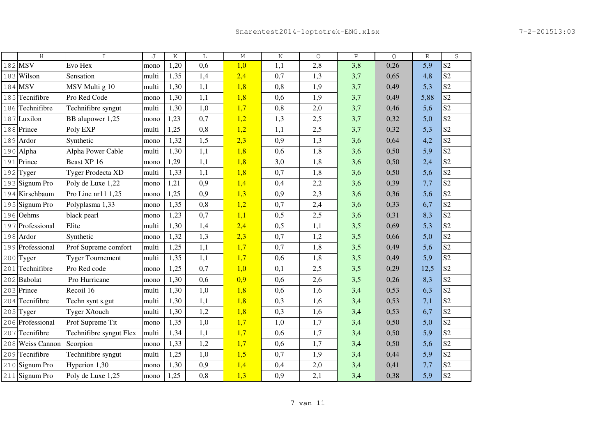| H                | $\mathbf I$              | J     | Κ    | L   | $\mathbb M$ | $\rm N$ | $\circ$ | $\, {\bf P}$ | Q    | $\mathbb R$ | S              |
|------------------|--------------------------|-------|------|-----|-------------|---------|---------|--------------|------|-------------|----------------|
| 182 MSV          | Evo Hex                  | mono  | 1,20 | 0,6 | 1,0         | 1,1     | 2,8     | 3,8          | 0,26 | 5,9         | S <sub>2</sub> |
| 183 Wilson       | Sensation                | multi | 1,35 | 1,4 | 2,4         | 0,7     | 1,3     | 3,7          | 0,65 | 4,8         | S <sub>2</sub> |
| 184 MSV          | MSV Multi g 10           | multi | 1,30 | 1,1 | 1,8         | 0,8     | 1,9     | 3,7          | 0,49 | 5,3         | S <sub>2</sub> |
| 185 Tecnifibre   | Pro Red Code             | mono  | 1,30 | 1,1 | 1,8         | 0,6     | 1,9     | 3,7          | 0,49 | 5,88        | S <sub>2</sub> |
| 186 Technifibre  | Technifibre syngut       | multi | 1,30 | 1,0 | 1,7         | 0,8     | 2,0     | 3,7          | 0,46 | 5,6         | S <sub>2</sub> |
| 187 Luxilon      | BB alupower 1,25         | mono  | 1,23 | 0,7 | 1,2         | 1,3     | 2,5     | 3,7          | 0,32 | 5,0         | S <sub>2</sub> |
| 188 Prince       | Poly EXP                 | multi | 1,25 | 0,8 | 1,2         | 1,1     | 2,5     | 3,7          | 0,32 | 5,3         | S <sub>2</sub> |
| 189 Ardor        | Synthetic                | mono  | 1,32 | 1,5 | 2,3         | 0,9     | 1,3     | 3,6          | 0,64 | 4,2         | S <sub>2</sub> |
| 190 Alpha        | Alpha Power Cable        | multi | 1,30 | 1,1 | 1,8         | 0,6     | 1,8     | 3,6          | 0,50 | 5,9         | S <sub>2</sub> |
| 191 Prince       | Beast XP 16              | mono  | 1,29 | 1,1 | 1,8         | 3,0     | 1,8     | 3,6          | 0,50 | 2,4         | S <sub>2</sub> |
| $192$ Tyger      | <b>Tyger Prodecta XD</b> | multi | 1,33 | 1,1 | 1,8         | 0,7     | 1,8     | 3,6          | 0,50 | 5,6         | S <sub>2</sub> |
| 193 Signum Pro   | Poly de Luxe 1,22        | mono  | 1,21 | 0,9 | 1,4         | 0,4     | 2,2     | 3,6          | 0,39 | 7,7         | S <sub>2</sub> |
| 194 Kirschbaum   | Pro Line nr11 1,25       | mono  | 1,25 | 0,9 | 1,3         | 0,9     | 2,3     | 3,6          | 0,36 | 5,6         | S <sub>2</sub> |
| 195 Signum Pro   | Polyplasma 1,33          | mono  | 1,35 | 0,8 | 1,2         | 0,7     | 2,4     | 3,6          | 0,33 | 6,7         | S <sub>2</sub> |
| 196 Oehms        | black pearl              | mono  | 1,23 | 0,7 | 1,1         | 0,5     | 2,5     | 3,6          | 0,31 | 8,3         | S <sub>2</sub> |
| 197 Professional | Elite                    | multi | 1,30 | 1,4 | 2,4         | 0,5     | 1,1     | 3,5          | 0,69 | 5,3         | S <sub>2</sub> |
| 198 Ardor        | Synthetic                | mono  | 1,32 | 1,3 | 2,3         | 0,7     | 1,2     | 3,5          | 0,66 | 5,0         | S <sub>2</sub> |
| 199 Professional | Prof Supreme comfort     | multi | 1,25 | 1,1 | 1,7         | 0,7     | 1,8     | 3,5          | 0,49 | 5,6         | S <sub>2</sub> |
| 200 Tyger        | <b>Tyger Tournement</b>  | multi | 1,35 | 1,1 | 1,7         | 0,6     | 1,8     | 3,5          | 0,49 | 5,9         | S <sub>2</sub> |
| 201 Technifibre  | Pro Red code             | mono  | 1,25 | 0,7 | 1,0         | 0,1     | 2,5     | 3,5          | 0,29 | 12,5        | S <sub>2</sub> |
| 202 Babolat      | Pro Hurricane            | mono  | 1,30 | 0.6 | 0,9         | 0,6     | 2,6     | 3,5          | 0,26 | 8,3         | S <sub>2</sub> |
| 203 Prince       | Recoil 16                | multi | 1,30 | 1,0 | 1,8         | 0,6     | 1,6     | 3,4          | 0,53 | 6,3         | S <sub>2</sub> |
| 204 Tecnifibre   | Techn synt s.gut         | multi | 1,30 | 1,1 | 1,8         | 0,3     | 1,6     | 3,4          | 0,53 | 7,1         | S <sub>2</sub> |
| $205$ Tyger      | Tyger X/touch            | multi | 1,30 | 1,2 | 1,8         | 0,3     | 1,6     | 3,4          | 0,53 | 6,7         | S <sub>2</sub> |
| 206 Professional | Prof Supreme Tit         | mono  | 1,35 | 1,0 | 1,7         | 1,0     | 1,7     | 3,4          | 0,50 | 5,0         | S <sub>2</sub> |
| 207 Tecnifibre   | Technifibre syngut Flex  | multi | 1,34 | 1,1 | 1,7         | 0,6     | 1,7     | 3,4          | 0,50 | 5,9         | S <sub>2</sub> |
| 208 Weiss Cannon | Scorpion                 | mono  | 1,33 | 1,2 | 1,7         | 0,6     | 1,7     | 3,4          | 0,50 | 5,6         | S <sub>2</sub> |
| 209 Tecnifibre   | Technifibre syngut       | multi | 1,25 | 1,0 | 1,5         | 0,7     | 1,9     | 3,4          | 0,44 | 5,9         | S <sub>2</sub> |
| 210 Signum Pro   | Hyperion 1,30            | mono  | 1,30 | 0,9 | 1,4         | 0,4     | 2,0     | 3,4          | 0,41 | 7,7         | S <sub>2</sub> |
| 211 Signum Pro   | Poly de Luxe 1,25        | mono  | 1,25 | 0,8 | 1,3         | 0,9     | 2,1     | 3,4          | 0,38 | 5,9         | S <sub>2</sub> |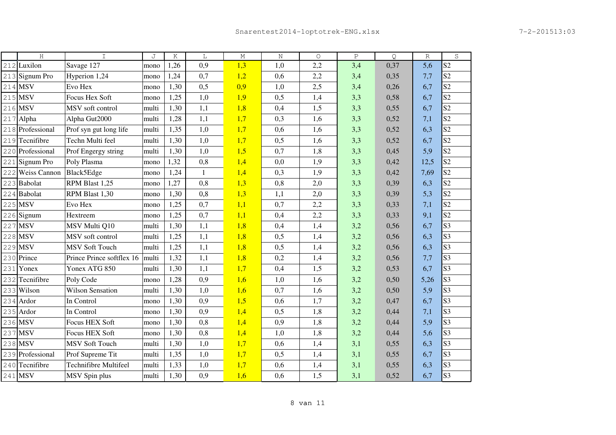|     | H                   | $\mathsf{T}$              | J     | K    | L            | $\mathop{\rm M}\nolimits$ | $\rm N$ | $\circ$ | $\, {\bf P}$ | Q    | $\mathbb R$ | S              |
|-----|---------------------|---------------------------|-------|------|--------------|---------------------------|---------|---------|--------------|------|-------------|----------------|
| 212 | Luxilon             | Savage 127                | mono  | 1,26 | 0,9          | 1,3                       | 1,0     | 2,2     | 3,4          | 0,37 | 5,6         | S <sub>2</sub> |
|     | 213 Signum Pro      | Hyperion 1,24             | mono  | 1,24 | 0,7          | 1,2                       | 0,6     | 2,2     | 3,4          | 0,35 | 7,7         | S <sub>2</sub> |
|     | 214 MSV             | Evo Hex                   | mono  | 1,30 | 0,5          | 0,9                       | 1,0     | 2,5     | 3,4          | 0,26 | 6,7         | S <sub>2</sub> |
|     | 215 MSV             | Focus Hex Soft            | mono  | 1,25 | 1,0          | 1,9                       | 0,5     | 1,4     | 3,3          | 0,58 | 6,7         | S <sub>2</sub> |
|     | 216 MSV             | MSV soft control          | multi | 1,30 | 1,1          | 1,8                       | 0,4     | 1,5     | 3,3          | 0,55 | 6,7         | S <sub>2</sub> |
|     | 217 Alpha           | Alpha Gut2000             | multi | 1,28 | 1,1          | 1,7                       | 0,3     | 1,6     | 3,3          | 0,52 | 7,1         | S <sub>2</sub> |
|     | 218 Professional    | Prof syn gut long life    | multi | 1,35 | 1,0          | 1,7                       | 0,6     | 1,6     | 3,3          | 0,52 | 6,3         | S <sub>2</sub> |
|     | 219 Tecnifibre      | Techn Multi feel          | multi | 1,30 | 1,0          | 1,7                       | 0,5     | 1,6     | 3,3          | 0,52 | 6,7         | S <sub>2</sub> |
|     | 220 Professional    | Prof Engergy string       | multi | 1,30 | 1,0          | 1,5                       | 0,7     | 1,8     | 3,3          | 0,45 | 5,9         | S <sub>2</sub> |
|     | 221 Signum Pro      | Poly Plasma               | mono  | 1,32 | 0,8          | 1,4                       | 0,0     | 1,9     | 3,3          | 0,42 | 12,5        | S <sub>2</sub> |
| 222 | <b>Weiss Cannon</b> | Black5Edge                | mono  | 1,24 | $\mathbf{1}$ | 1,4                       | 0,3     | 1,9     | 3,3          | 0,42 | 7,69        | S <sub>2</sub> |
|     | 223 Babolat         | RPM Blast 1,25            | mono  | 1,27 | 0,8          | 1,3                       | 0,8     | 2,0     | 3,3          | 0,39 | 6,3         | S <sub>2</sub> |
|     | 224 Babolat         | RPM Blast 1,30            | mono  | 1,30 | 0,8          | 1,3                       | 1,1     | 2,0     | 3,3          | 0,39 | 5,3         | S <sub>2</sub> |
|     | 225 MSV             | Evo Hex                   | mono  | 1,25 | 0,7          | 1,1                       | 0,7     | 2,2     | 3,3          | 0,33 | 7,1         | S <sub>2</sub> |
|     | 226 Signum          | Hextreem                  | mono  | 1,25 | 0,7          | 1,1                       | 0,4     | 2,2     | 3,3          | 0,33 | 9,1         | S <sub>2</sub> |
|     | 227 MSV             | MSV Multi Q10             | multi | 1,30 | 1,1          | 1,8                       | 0,4     | 1,4     | 3,2          | 0,56 | 6,7         | S <sub>3</sub> |
|     | 228 MSV             | MSV soft control          | multi | 1,25 | 1,1          | 1,8                       | 0,5     | 1,4     | 3,2          | 0,56 | 6,3         | S <sub>3</sub> |
|     | 229 MSV             | <b>MSV Soft Touch</b>     | multi | 1,25 | 1,1          | 1,8                       | 0,5     | 1,4     | 3,2          | 0,56 | 6,3         | S <sub>3</sub> |
|     | 230 Prince          | Prince Prince softflex 16 | multi | 1,32 | 1,1          | 1,8                       | 0,2     | 1,4     | 3,2          | 0,56 | 7,7         | S <sub>3</sub> |
| 231 | Yonex               | Yonex ATG 850             | multi | 1,30 | 1,1          | 1,7                       | 0,4     | 1,5     | 3,2          | 0,53 | 6,7         | S <sub>3</sub> |
|     | 232 Tecnifibre      | Poly Code                 | mono  | 1,28 | 0,9          | 1,6                       | 1,0     | 1,6     | 3,2          | 0,50 | 5,26        | S <sub>3</sub> |
|     | 233 Wilson          | <b>Wilson Sensation</b>   | multi | 1,30 | 1,0          | 1,6                       | 0,7     | 1,6     | 3,2          | 0,50 | 5,9         | S <sub>3</sub> |
|     | 234 Ardor           | In Control                | mono  | 1,30 | 0,9          | 1,5                       | 0,6     | 1,7     | 3,2          | 0,47 | 6,7         | S <sub>3</sub> |
|     | 235 Ardor           | In Control                | mono  | 1,30 | 0,9          | 1,4                       | 0,5     | 1,8     | 3,2          | 0,44 | 7,1         | S <sub>3</sub> |
|     | 236 MSV             | <b>Focus HEX Soft</b>     | mono  | 1,30 | 0,8          | 1,4                       | 0,9     | 1,8     | 3,2          | 0,44 | 5,9         | S <sub>3</sub> |
|     | 237 MSV             | Focus HEX Soft            | mono  | 1,30 | 0,8          | 1,4                       | 1,0     | 1,8     | 3,2          | 0,44 | 5,6         | S <sub>3</sub> |
|     | 238 MSV             | <b>MSV Soft Touch</b>     | multi | 1,30 | 1,0          | 1,7                       | 0,6     | 1,4     | 3,1          | 0,55 | 6,3         | S <sub>3</sub> |
|     | 239 Professional    | Prof Supreme Tit          | multi | 1,35 | 1,0          | 1,7                       | 0,5     | 1,4     | 3,1          | 0,55 | 6,7         | S <sub>3</sub> |
|     | 240 Tecnifibre      | Technifibre Multifeel     | multi | 1,33 | 1,0          | 1,7                       | 0,6     | 1,4     | 3,1          | 0,55 | 6,3         | S <sub>3</sub> |
|     | 241 MSV             | MSV Spin plus             | multi | 1,30 | 0,9          | 1,6                       | 0,6     | 1,5     | 3,1          | 0,52 | 6,7         | S <sub>3</sub> |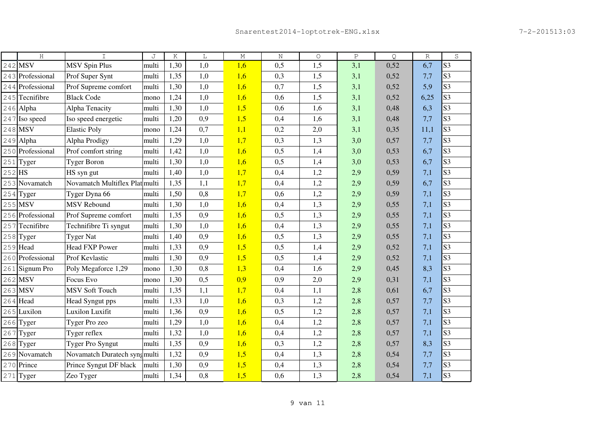|     | H                | $\mathsf{T}$                   | J     | Κ    | L   | $\mathbb M$ | $\rm N$ | $\circ$ | $\, {\bf P}$ | Q    | $\mathbb{R}$ | S              |
|-----|------------------|--------------------------------|-------|------|-----|-------------|---------|---------|--------------|------|--------------|----------------|
| 242 | <b>MSV</b>       | <b>MSV Spin Plus</b>           | multi | 1,30 | 1,0 | 1,6         | 0,5     | 1,5     | 3,1          | 0,52 | 6,7          | S <sub>3</sub> |
| 243 | Professional     | Prof Super Synt                | multi | 1,35 | 1,0 | 1,6         | 0,3     | 1,5     | 3,1          | 0,52 | 7,7          | S <sub>3</sub> |
| 244 | Professional     | Prof Supreme comfort           | multi | 1,30 | 1,0 | 1,6         | 0,7     | 1,5     | 3,1          | 0,52 | 5,9          | S <sub>3</sub> |
| 245 | Tecnifibre       | <b>Black Code</b>              | mono  | 1,24 | 1,0 | 1,6         | 0,6     | 1,5     | 3,1          | 0,52 | 6,25         | S <sub>3</sub> |
|     | 246 Alpha        | Alpha Tenacity                 | multi | 1,30 | 1,0 | 1,5         | 0,6     | 1,6     | 3,1          | 0,48 | 6,3          | S <sub>3</sub> |
| 247 | Iso speed        | Iso speed energetic            | multi | 1,20 | 0,9 | 1,5         | 0,4     | 1,6     | 3,1          | 0,48 | 7,7          | S <sub>3</sub> |
| 248 | <b>MSV</b>       | <b>Elastic Poly</b>            | mono  | 1,24 | 0,7 | 1,1         | 0,2     | 2,0     | 3,1          | 0,35 | 11,1         | S <sub>3</sub> |
| 249 | Alpha            | Alpha Prodigy                  | multi | 1,29 | 1,0 | 1,7         | 0,3     | 1,3     | 3,0          | 0,57 | 7,7          | S <sub>3</sub> |
| 250 | Professional     | Prof comfort string            | multi | 1,42 | 1,0 | 1,6         | 0,5     | 1,4     | 3,0          | 0,53 | 6,7          | S <sub>3</sub> |
| 251 | Tyger            | <b>Tyger Boron</b>             | multi | 1,30 | 1,0 | 1,6         | 0,5     | 1,4     | 3,0          | 0,53 | 6,7          | S <sub>3</sub> |
| 252 | <b>HS</b>        | HS syn gut                     | multi | 1,40 | 1,0 | 1,7         | 0,4     | 1,2     | 2,9          | 0,59 | 7,1          | S <sub>3</sub> |
|     | 253 Novamatch    | Novamatch Multiflex Plat multi |       | 1,35 | 1,1 | 1,7         | 0,4     | 1,2     | 2,9          | 0,59 | 6,7          | S <sub>3</sub> |
| 254 | Tyger            | Tyger Dyna 66                  | multi | 1,50 | 0,8 | 1,7         | 0,6     | 1,2     | 2,9          | 0,59 | 7,1          | S <sub>3</sub> |
| 255 | <b>MSV</b>       | <b>MSV</b> Rebound             | multi | 1,30 | 1,0 | 1,6         | 0,4     | 1,3     | 2,9          | 0,55 | 7,1          | S <sub>3</sub> |
| 256 | Professional     | Prof Supreme comfort           | multi | 1,35 | 0,9 | 1,6         | 0,5     | 1,3     | 2,9          | 0,55 | 7,1          | S <sub>3</sub> |
| 257 | Tecnifibre       | Technifibre Ti syngut          | multi | 1,30 | 1,0 | 1,6         | 0,4     | 1,3     | 2,9          | 0,55 | 7,1          | S <sub>3</sub> |
| 258 | Tyger            | <b>Tyger Nat</b>               | multi | 1,40 | 0,9 | 1,6         | 0,5     | 1,3     | 2,9          | 0,55 | 7,1          | S <sub>3</sub> |
| 259 | Head             | <b>Head FXP Power</b>          | multi | 1,33 | 0,9 | 1,5         | 0,5     | 1,4     | 2,9          | 0,52 | 7,1          | S <sub>3</sub> |
|     | 260 Professional | Prof Kevlastic                 | multi | 1,30 | 0,9 | 1,5         | 0,5     | 1,4     | 2,9          | 0,52 | 7,1          | S <sub>3</sub> |
| 261 | Signum Pro       | Poly Megaforce 1,29            | mono  | 1,30 | 0,8 | 1,3         | 0,4     | 1,6     | 2,9          | 0,45 | 8,3          | S <sub>3</sub> |
| 262 | <b>MSV</b>       | Focus Evo                      | mono  | 1,30 | 0,5 | 0,9         | 0,9     | 2,0     | 2,9          | 0,31 | 7,1          | S <sub>3</sub> |
| 263 | <b>MSV</b>       | <b>MSV Soft Touch</b>          | multi | 1,35 | 1,1 | 1,7         | 0,4     | 1,1     | 2,8          | 0,61 | 6,7          | S <sub>3</sub> |
| 264 | Head             | Head Syngut pps                | multi | 1,33 | 1,0 | 1,6         | 0,3     | 1,2     | 2,8          | 0,57 | 7,7          | S <sub>3</sub> |
| 265 | Luxilon          | <b>Luxilon Luxifit</b>         | multi | 1,36 | 0,9 | 1,6         | 0,5     | 1,2     | 2,8          | 0,57 | 7,1          | S <sub>3</sub> |
| 266 | Tyger            | Tyger Pro zeo                  | multi | 1,29 | 1,0 | 1,6         | 0,4     | 1,2     | 2,8          | 0,57 | 7,1          | S <sub>3</sub> |
| 267 | Tyger            | Tyger reflex                   | multi | 1,32 | 1,0 | 1,6         | 0,4     | 1,2     | 2,8          | 0,57 | 7,1          | S <sub>3</sub> |
| 268 | Tyger            | Tyger Pro Syngut               | multi | 1,35 | 0,9 | 1,6         | 0,3     | 1,2     | 2,8          | 0,57 | 8,3          | S <sub>3</sub> |
| 269 | Novamatch        | Novamatch Duratech syng multi  |       | 1,32 | 0,9 | 1,5         | 0,4     | 1,3     | 2,8          | 0,54 | 7,7          | S <sub>3</sub> |
| 270 | Prince           | Prince Syngut DF black         | multi | 1,30 | 0,9 | 1,5         | 0,4     | 1,3     | 2,8          | 0,54 | 7,7          | S <sub>3</sub> |
|     | 271 Tyger        | Zeo Tyger                      | multi | 1,34 | 0,8 | 1,5         | 0.6     | 1,3     | 2,8          | 0,54 | 7,1          | S <sub>3</sub> |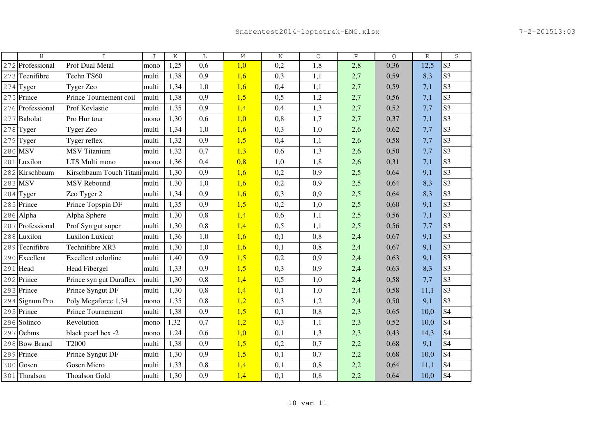|     | H                | T                             | J     | Κ    | L   | $\mathbb M$ | $\rm N$ | $\circ$ | $\, {\bf P}$ | Q.   | $\mathbb R$ | S              |
|-----|------------------|-------------------------------|-------|------|-----|-------------|---------|---------|--------------|------|-------------|----------------|
| 272 | Professional     | Prof Dual Metal               | mono  | 1,25 | 0,6 | 1,0         | 0,2     | 1,8     | 2,8          | 0,36 | 12,5        | S <sub>3</sub> |
|     | 273 Tecnifibre   | Techn TS60                    | multi | 1,38 | 0,9 | 1,6         | 0,3     | 1,1     | 2,7          | 0,59 | 8,3         | S <sub>3</sub> |
|     | $274$ Tyger      | Tyger Zeo                     | multi | 1,34 | 1,0 | 1,6         | 0,4     | 1,1     | 2,7          | 0,59 | 7,1         | S <sub>3</sub> |
|     | 275 Prince       | Prince Tournement coil        | multi | 1,38 | 0,9 | 1,5         | 0,5     | 1,2     | 2,7          | 0,56 | 7,1         | S <sub>3</sub> |
|     | 276 Professional | Prof Kevlastic                | multi | 1,35 | 0,9 | 1,4         | 0,4     | 1,3     | 2,7          | 0,52 | 7,7         | S <sub>3</sub> |
| 277 | Babolat          | Pro Hur tour                  | mono  | 1,30 | 0,6 | 1,0         | 0,8     | 1,7     | 2,7          | 0,37 | 7,1         | S <sub>3</sub> |
|     | $278$ Tyger      | Tyger Zeo                     | multi | 1,34 | 1,0 | 1,6         | 0,3     | 1,0     | 2,6          | 0,62 | 7,7         | S <sub>3</sub> |
| 279 | Tyger            | Tyger reflex                  | multi | 1,32 | 0,9 | 1,5         | 0,4     | 1,1     | 2,6          | 0,58 | 7,7         | S <sub>3</sub> |
|     | 280 MSV          | <b>MSV</b> Titanium           | multi | 1,32 | 0,7 | 1,3         | 0,6     | 1,3     | 2,6          | 0,50 | 7,7         | S <sub>3</sub> |
|     | $281$ Luxilon    | LTS Multi mono                | mono  | 1,36 | 0,4 | 0,8         | 1,0     | 1,8     | 2,6          | 0,31 | 7,1         | S <sub>3</sub> |
|     | 282 Kirschbaum   | Kirschbaum Touch Titani multi |       | 1,30 | 0,9 | 1,6         | 0,2     | 0,9     | 2,5          | 0,64 | 9,1         | S <sub>3</sub> |
|     | 283 MSV          | <b>MSV Rebound</b>            | multi | 1,30 | 1,0 | 1,6         | 0,2     | 0,9     | 2,5          | 0,64 | 8,3         | S <sub>3</sub> |
|     | $284$ Tyger      | Zeo Tyger 2                   | multi | 1,34 | 0,9 | 1,6         | 0,3     | 0,9     | 2,5          | 0,64 | 8,3         | S <sub>3</sub> |
|     | 285 Prince       | Prince Topspin DF             | multi | 1,35 | 0,9 | 1,5         | 0,2     | 1,0     | 2,5          | 0,60 | 9,1         | S <sub>3</sub> |
|     | 286 Alpha        | Alpha Sphere                  | multi | 1,30 | 0,8 | 1,4         | 0,6     | 1,1     | 2,5          | 0,56 | 7,1         | S <sub>3</sub> |
|     | 287 Professional | Prof Syn gut super            | multi | 1,30 | 0,8 | 1,4         | 0,5     | 1,1     | 2,5          | 0,56 | 7,7         | S <sub>3</sub> |
|     | 288 Luxilon      | <b>Luxilon Luxicat</b>        | multi | 1,36 | 1,0 | 1,6         | 0,1     | 0,8     | 2,4          | 0,67 | 9,1         | S <sub>3</sub> |
|     | 289 Tecnifibre   | Technifibre XR3               | multi | 1,30 | 1,0 | 1,6         | 0,1     | 0,8     | 2,4          | 0,67 | 9,1         | S <sub>3</sub> |
|     | 290 Excellent    | Excellent colorline           | multi | 1,40 | 0,9 | 1,5         | 0,2     | 0,9     | 2,4          | 0,63 | 9,1         | S <sub>3</sub> |
|     | 291 Head         | <b>Head Fibergel</b>          | multi | 1,33 | 0,9 | 1,5         | 0,3     | 0,9     | 2,4          | 0,63 | 8,3         | S <sub>3</sub> |
|     | 292 Prince       | Prince syn gut Duraflex       | multi | 1,30 | 0,8 | 1,4         | 0,5     | 1,0     | 2,4          | 0,58 | 7,7         | S <sub>3</sub> |
|     | 293 Prince       | Prince Syngut DF              | multi | 1,30 | 0,8 | 1,4         | 0,1     | 1,0     | 2,4          | 0,58 | 11,1        | S <sub>3</sub> |
|     | 294 Signum Pro   | Poly Megaforce 1,34           | mono  | 1,35 | 0,8 | 1,2         | 0,3     | 1,2     | 2,4          | 0,50 | 9,1         | S <sub>3</sub> |
|     | 295 Prince       | Prince Tournement             | multi | 1,38 | 0,9 | 1,5         | 0,1     | 0,8     | 2,3          | 0,65 | 10,0        | S <sub>4</sub> |
|     | 296 Solinco      | Revolution                    | mono  | 1,32 | 0,7 | 1,2         | 0,3     | 1,1     | 2,3          | 0,52 | 10,0        | S <sub>4</sub> |
|     | 297 Oehms        | black pearl hex -2            | mono  | 1,24 | 0,6 | 1,0         | 0,1     | 1,3     | 2,3          | 0,43 | 14,3        | S <sub>4</sub> |
|     | 298 Bow Brand    | T2000                         | multi | 1,38 | 0,9 | 1,5         | 0,2     | 0,7     | 2,2          | 0,68 | 9,1         | S4             |
|     | 299 Prince       | Prince Syngut DF              | multi | 1,30 | 0,9 | 1,5         | 0,1     | 0,7     | 2,2          | 0,68 | 10,0        | S4             |
|     | 300 Gosen        | <b>Gosen Micro</b>            | multi | 1,33 | 0,8 | 1,4         | 0,1     | 0,8     | 2,2          | 0,64 | 11,1        | S4             |
|     | 301 Thoalson     | <b>Thoalson Gold</b>          | multi | 1,30 | 0,9 | 1,4         | 0,1     | 0,8     | 2,2          | 0,64 | 10,0        | <b>S4</b>      |